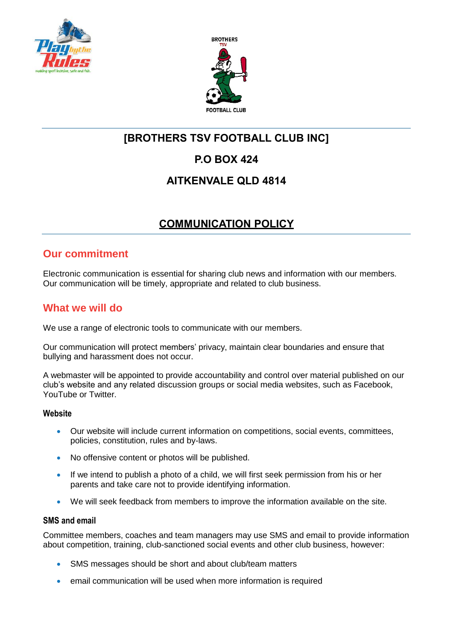



# **[BROTHERS TSV FOOTBALL CLUB INC]**

## **P.O BOX 424**

### **AITKENVALE QLD 4814**

## **COMMUNICATION POLICY**

### **Our commitment**

Electronic communication is essential for sharing club news and information with our members. Our communication will be timely, appropriate and related to club business.

### **What we will do**

We use a range of electronic tools to communicate with our members.

Our communication will protect members' privacy, maintain clear boundaries and ensure that bullying and harassment does not occur.

A webmaster will be appointed to provide accountability and control over material published on our club's website and any related discussion groups or social media websites, such as Facebook, YouTube or Twitter.

#### **Website**

- Our website will include current information on competitions, social events, committees, policies, constitution, rules and by-laws.
- No offensive content or photos will be published.
- If we intend to publish a photo of a child, we will first seek permission from his or her parents and take care not to provide identifying information.
- We will seek feedback from members to improve the information available on the site.

#### **SMS and email**

Committee members, coaches and team managers may use SMS and email to provide information about competition, training, club-sanctioned social events and other club business, however:

- SMS messages should be short and about club/team matters
- email communication will be used when more information is required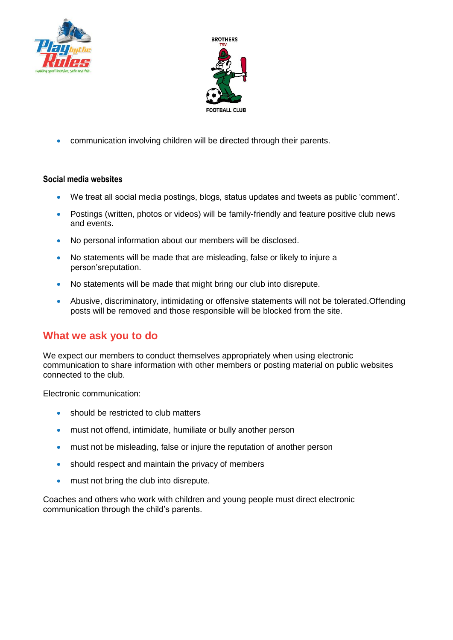



communication involving children will be directed through their parents.

#### **Social media websites**

- We treat all social media postings, blogs, status updates and tweets as public 'comment'.
- Postings (written, photos or videos) will be family-friendly and feature positive club news and events.
- No personal information about our members will be disclosed.
- No statements will be made that are misleading, false or likely to injure a person'sreputation.
- No statements will be made that might bring our club into disrepute.
- Abusive, discriminatory, intimidating or offensive statements will not be tolerated.Offending posts will be removed and those responsible will be blocked from the site.

### **What we ask you to do**

We expect our members to conduct themselves appropriately when using electronic communication to share information with other members or posting material on public websites connected to the club.

Electronic communication:

- **should be restricted to club matters**
- must not offend, intimidate, humiliate or bully another person
- must not be misleading, false or injure the reputation of another person
- should respect and maintain the privacy of members
- must not bring the club into disrepute.

Coaches and others who work with children and young people must direct electronic communication through the child's parents.